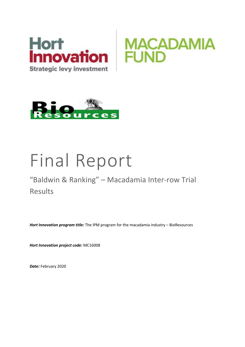





# Final Report

# "Baldwin & Ranking" – Macadamia Inter-row Trial Results

*Hort Innovation program title:* The IPM program for the macadamia industry – BioResources

*Hort Innovation project code:* MC16008

*Date:* February 2020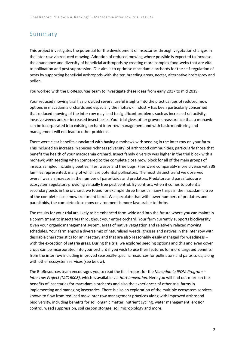### Summary

This project investigates the potential for the development of insectaries through vegetation changes in the inter row via reduced mowing. Adoption of reduced mowing where possible is expected to increase the abundance and diversity of beneficial arthropods by creating more complex food-webs that are vital to pollination and pest suppression. Our aim is to optimise macadamia orchards for the self-regulation of pests by supporting beneficial arthropods with shelter, breeding areas, nectar, alternative hosts/prey and pollen.

You worked with the BioResources team to investigate these ideas from early 2017 to mid 2019.

Your reduced mowing trial has provided several useful insights into the practicalities of reduced mow options in macadamia orchards and especially the mohawk. Industry has been particularly concerned that reduced mowing of the inter row may lead to significant problems such as increased rat activity, invasive weeds and/or increased insect pests. Your trial gives other growers reassurance that a mohawk can be incorporated into existing orchard inter row management and with basic monitoring and management will not lead to other problems.

There were clear benefits associated with having a mohawk with seeding in the inter row on your farm. This included an increase in species richness (diversity) of arthropod communities, particularly those that benefit the health of your macadamia orchard. Insect family diversity was higher in the trial block with a mohawk with seeding when compared to the complete close mow block for all of the main groups of insects sampled including beetles, flies, wasps and true bugs. Flies were comparably more diverse with 38 families represented, many of which are potential pollinators. The most distinct trend we observed overall was an increase in the number of parasitoids and predators. Predators and parasitoids are ecosystem regulators providing virtually free pest control. By contrast, when it comes to potential secondary pests in the orchard, we found for example three times as many thrips in the macadamia tree of the complete close mow treatment block. We speculate that with lower numbers of predators and parasitoids, the complete close mow environment is more favourable to thrips.

The results for your trial are likely to be enhanced farm-wide and into the future where you can maintain a commitment to insectaries throughout your entire orchard. Your farm currently supports biodiversity given your organic management system, areas of native vegetation and relatively relaxed mowing schedules. Your farm enjoys a diverse mix of naturalised weeds, grasses and natives in the inter row with desirable characteristics for an insectary and that are also reasonably easily managed for weediness – with the exception of setaria grass. During the trial we explored seeding options and this and even cover crops can be incorporated into your orchard if you wish to use their features for more targeted benefits from the inter row including improved seasonally-specific resources for pollinators and parasitoids, along with other ecosystem services (see below).

The BioResources team encourages you to read the final report for the *Macadamia IPDM Program – Inter-row Project (MC16008)*, which is available via *Hort Innovation*. Here you will find out more on the benefits of insectaries for macadamia orchards and also the experiences of other trial farms in implementing and managing insectaries. There is also an exploration of the multiple ecosystem services known to flow from reduced mow inter row management practices along with improved arthropod biodiversity, including benefits for soil organic matter, nutrient cycling, water management, erosion control, weed suppression, soil carbon storage, soil microbiology and more.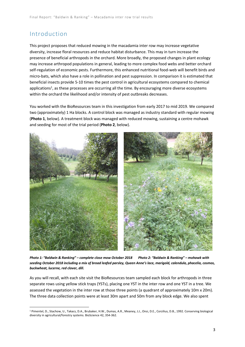# Introduction

This project proposes that reduced mowing in the macadamia inter row may increase vegetative diversity, increase floral resources and reduce habitat disturbance. This may in turn increase the presence of beneficial arthropods in the orchard. More broadly, the proposed changes in plant ecology may increase arthropod populations in general, leading to more complex food webs and better orchard self-regulation of economic pests. Furthermore, this enhanced nutritional food-web will benefit birds and micro-bats, which also have a role in pollination and pest suppression. In comparison it is estimated that beneficial insects provide 5-10 times the pest control in agricultural ecosystems compared to chemical applications<sup>1</sup>, as these processes are occurring all the time. By encouraging more diverse ecosystems within the orchard the likelihood and/or intensity of pest outbreaks decreases.

You worked with the BioResources team in this investigation from early 2017 to mid 2019. We compared two (approximately) 1 Ha blocks. A control block was managed as industry standard with regular mowing (**Photo 1**, below). A treatment block was managed with reduced mowing, sustaining a centre mohawk and seeding for most of the trial period (**Photo 2**, below).



*Photo 1: "Baldwin & Ranking" – complete close mow October 2018 Photo 2: "Baldwin & Ranking" – mohawk with seeding October 2018 including a mix of broad leafed parsley, Queen Anne's lace, marigold, calendula, phacelia, cosmos, buckwheat, lucerne, red clover, dill.*

As you will recall, with each site visit the BioResources team sampled each block for arthropods in three separate rows using yellow stick traps (YSTs), placing one YST in the inter row and one YST in a tree. We assessed the vegetation in the inter row at those three points (a quadrant of approximately 10m x 20m). The three data collection points were at least 30m apart and 50m from any block edge. We also spent

<sup>1</sup> Pimentel, D., Stachow, U., Takacs, D.A., Brubaker, H.W., Dumas, A.R., Meaney, J.J., Onsi, D.E., Corzilius, D.B., 1992. Conserving biological diversity in agricultural/forestry systems. BioScience 42, 354-362.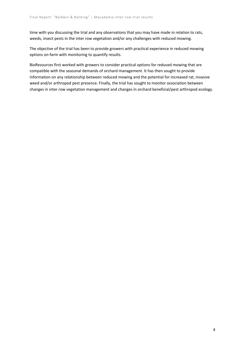time with you discussing the trial and any observations that you may have made in relation to rats, weeds, insect pests in the inter row vegetation and/or any challenges with reduced mowing.

The objective of the trial has been to provide growers with practical experience in reduced mowing options on-farm with monitoring to quantify results.

BioResources first worked with growers to consider practical options for reduced mowing that are compatible with the seasonal demands of orchard management. It has then sought to provide information on any relationship between reduced mowing and the potential for increased rat, invasive weed and/or arthropod pest presence. Finally, the trial has sought to monitor association between changes in inter row vegetation management and changes in orchard beneficial/pest arthropod ecology.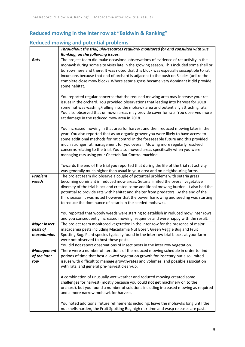# **Reduced mowing in the inter row at "Baldwin & Ranking"**

## **Reduced mowing and potential problems**

|                     | Throughout the trial, BioResources regularly monitored for and consulted with Sue                                                                                                                                                                                                                                                                                                                                                                                                                       |
|---------------------|---------------------------------------------------------------------------------------------------------------------------------------------------------------------------------------------------------------------------------------------------------------------------------------------------------------------------------------------------------------------------------------------------------------------------------------------------------------------------------------------------------|
|                     | Ranking, on the following issues:                                                                                                                                                                                                                                                                                                                                                                                                                                                                       |
| Rats                | The project team did make occasional observations of evidence of rat activity in the<br>mohawk during some site visits late in the growing season. This included some shell or<br>burrows here and there. It was noted that this block was especially susceptible to rat<br>incursions because that end of orchard is adjacent to the bush on 3 sides (unlike the<br>complete close mow block). Where setaria grass became very dominant it did provide<br>some habitat.                                |
|                     | You reported regular concerns that the reduced mowing area may increase your rat<br>issues in the orchard. You provided observations that leading into harvest for 2018<br>some nut was washing/rolling into the mohawk area and potentially attracting rats.<br>You also observed that unmown areas may provide cover for rats. You observed more<br>rat damage in the reduced mow area in 2018.                                                                                                       |
|                     | You increased mowing in that area for harvest and then reduced mowing later in the<br>year. You also reported that as an organic grower you were likely to have access to<br>some additional methods for rat control in the foreseeable future and this provided<br>much stronger rat management for you overall. Mowing more regularly resolved<br>concerns relating to the trial. You also mowed areas specifically when you were<br>managing rats using your Cheetah Rat Control machine.            |
|                     | Towards the end of the trial you reported that during the life of the trial rat activity<br>was generally much higher than usual in your area and on neighbouring farms.                                                                                                                                                                                                                                                                                                                                |
| Problem<br>weeds    | The project team did observe a couple of potential problems with setaria grass<br>becoming dominant in reduced mow areas. Setaria limited the overall vegetative<br>diversity of the trial block and created some additional mowing burden. It also had the<br>potential to provide rats with habitat and shelter from predators. By the end of the<br>third season it was noted however that the power harrowing and seeding was starting<br>to reduce the dominance of setaria in the seeded mohawks. |
|                     | You reported that woody weeds were starting to establish in reduced mow inter rows<br>and you consequently increased mowing frequency and were happy with the result.                                                                                                                                                                                                                                                                                                                                   |
| <b>Major insect</b> | The project team monitored vegetation in the inter row for the presence of major                                                                                                                                                                                                                                                                                                                                                                                                                        |
| pests of            | macadamia pests including Macadamia Nut Borer, Green Veggie Bug and Fruit                                                                                                                                                                                                                                                                                                                                                                                                                               |
| macadamias          | Spotting Bug. Plant species typically found in the inter row trial blocks at your farm                                                                                                                                                                                                                                                                                                                                                                                                                  |
|                     | were not observed to host these pests.                                                                                                                                                                                                                                                                                                                                                                                                                                                                  |
|                     | You did not report observations of insect pests in the inter row vegetation.                                                                                                                                                                                                                                                                                                                                                                                                                            |
| <b>Management</b>   | There were a number of iterations of the reduced mowing schedule in order to find                                                                                                                                                                                                                                                                                                                                                                                                                       |
| of the inter        | periods of time that best allowed vegetation growth for insectary but also limited                                                                                                                                                                                                                                                                                                                                                                                                                      |
| row                 | issues with difficult to manage growth-rates and volumes, and possible association<br>with rats, and general pre-harvest clean-up.                                                                                                                                                                                                                                                                                                                                                                      |
|                     | A combination of unusually wet weather and reduced mowing created some<br>challenges for harvest (mostly because you could not get machinery on to the<br>orchard), but you found a number of solutions including increased mowing as required<br>and a more narrow mohawk for harvest.                                                                                                                                                                                                                 |
|                     | You noted additional future refinements including: leave the mohawks long until the<br>nut shells harden, the Fruit Spotting Bug high risk time and wasp releases are past.                                                                                                                                                                                                                                                                                                                             |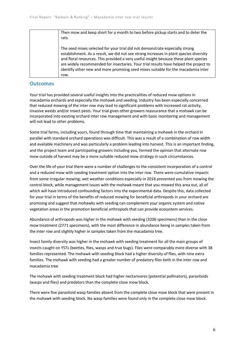| Then mow and keep short for a month to two before pickup starts and to deter the<br>rats.                                                                                                                                                                                                                                                                                                                                                             |
|-------------------------------------------------------------------------------------------------------------------------------------------------------------------------------------------------------------------------------------------------------------------------------------------------------------------------------------------------------------------------------------------------------------------------------------------------------|
| The seed mixes selected for your trial did not demonstrate especially strong<br>establishment. As a result, we did not see strong increases in plant species diversity<br>and floral resources. This provided a very useful insight because these plant species<br>are widely recommended for insectaries. Your trial results have helped the project to<br>identify other new and more promising seed mixes suitable for the macadamia inter<br>row. |

#### **Outcomes**

Your trial has provided several useful insights into the practicalities of reduced mow options in macadamia orchards and especially the mohawk and seeding. Industry has been especially concerned that reduced mowing of the inter row may lead to significant problems with increased rat activity, invasive weeds and/or insect pests. Your trial gives other growers reassurance that a mohawk can be incorporated into existing orchard inter row management and with basic monitoring and management will not lead to other problems.

Some trial farms, including yours, found through time that maintaining a mohawk in the orchard in parallel with standard orchard operations was difficult. This was a result of a combination of row width and available machinery and was particularly a problem leading into harvest. This is an important finding, and the project team and participating growers including you, formed the opinion that alternate row mow outside of harvest may be a more suitable reduced mow strategy in such circumstances.

Over the life of your trial there were a number of challenges to the consistent incorporation of a control and a reduced mow with seeding treatment option into the inter row. There were cumulative impacts from some irregular mowing; wet weather conditions especially in 2018 prevented you from mowing the control block, while management issues with the mohawk meant that you mowed this area out, all of which will have introduced confounding factors into the experimental data. Despite this, data collected for your trial in terms of the benefits of reduced mowing for beneficial arthropods in your orchard are promising and suggest that mohawks with seeding can complement your organic system and native vegetation areas in the promotion beneficial arthropods that can provide ecosystem services.

Abundance of arthropods was higher in the mohawk with seeding (3206 specimens) than in the close mow treatment (2771 specimens), with the most difference in abundance being in samples taken from the inter row and slightly higher in samples taken from the macadamia tree.

Insect family diversity was higher in the mohawk with seeding treatment for all the main groups of insects caught on YSTs (beetles, flies, wasps and true bugs). Flies were comparably more diverse with 38 families represented. The mohawk with seeding block had a higher diversity of flies, with nine extra families. The mohawk with seeding had a greater number of predatory flies both in the inter row and macadamia tree

The mohawk with seeding treatment block had higher nectarivores (potential pollinators), parasitoids (wasps and flies) and predators than the complete close mow block.

There were five parasitoid wasp families absent from the complete close mow block that were present in the mohawk with seeding block. No wasp families were found only in the complete close mow block.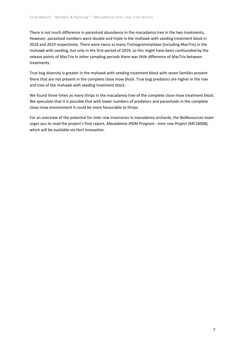There is not much difference in parasitoid abundance in the macadamia tree in the two treatments, However, parasitoid numbers were double and triple in the mohawk with seeding treatment block in 2018 and 2019 respectively. There were twice as many Trichogrammatidae (including MacTrix) in the mohawk with seeding, but only in the first period of 2019, so this might have been confounded by the release points of MacTrix In other sampling periods there was little difference of MacTrix between treatments.

True bug diversity is greater in the mohawk with seeding treatment block with seven families present there that are not present in the complete close mow block. True bug predators are higher in the row and tree of the mohawk with seeding treatment block.

We found three times as many thrips in the macadamia tree of the complete close mow treatment block. We speculate that it is possible that with lower numbers of predators and parasitoids in the complete close mow environment it could be more favourable to thrips.

For an overview of the potential for inter row insectaries in macadamia orchards, the BioResources team urges you to read the project's final report, *Macadamia IPDM Program - Inter row Project (MC16008),*  which will be available via *Hort Innovation*.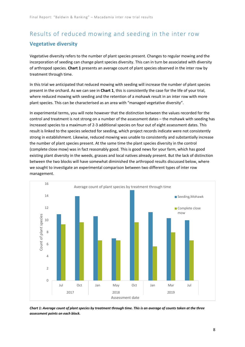# Results of reduced mowing and seeding in the inter row **Vegetative diversity**

Vegetative diversity refers to the number of plant species present. Changes to regular mowing and the incorporation of seeding can change plant species diversity. This can in turn be associated with diversity of arthropod species. **Chart 1** presents an average count of plant species observed in the inter row by treatment through time.

In this trial we anticipated that reduced mowing with seeding will increase the number of plant species present in the orchard. As we can see in **Chart 1**, this is consistently the case for the life of your trial, where reduced mowing with seeding and the retention of a mohawk result in an inter row with more plant species. This can be characterised as an area with "managed vegetative diversity".

In experimental terms, you will note however that the distinction between the values recorded for the control and treatment is not strong on a number of the assessment dates – the mohawk with seeding has increased species to a maximum of 2-3 additional species on four out of eight assessment dates. This result is linked to the species selected for seeding, which project records indicate were not consistently strong in establishment. Likewise, reduced mowing was unable to consistently and substantially increase the number of plant species present. At the same time the plant species diversity in the control (complete close mow) was in fact reasonably good. This is good news for your farm, which has good existing plant diversity in the weeds, grasses and local natives already present. But the lack of distinction between the two blocks will have somewhat diminished the arthropod results discussed below, where we sought to investigate an experimental comparison between two different types of inter row management.



*Chart 1: Average count of plant species by treatment through time. This is an average of counts taken at the three assessment points on each block.*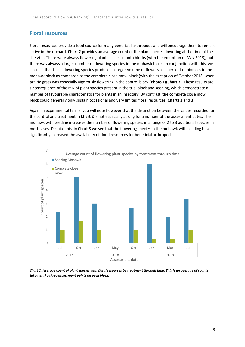#### **Floral resources**

Floral resources provide a food source for many beneficial arthropods and will encourage them to remain active in the orchard. **Chart 2** provides an average count of the plant species flowering at the time of the site visit. There were always flowering plant species in both blocks (with the exception of May 2018); but there was always a larger number of flowering species in the mohawk block. In conjunction with this, we also see that these flowering species produced a larger volume of flowers as a percent of biomass in the mohawk block as compared to the complete close mow block (with the exception of October 2018, when prairie grass was especially vigorously flowering in the control block (**Photo 1**)(**Chart 3**). These results are a consequence of the mix of plant species present in the trial block and seeding, which demonstrate a number of favourable characteristics for plants in an insectary. By contrast, the complete close mow block could generally only sustain occasional and very limited floral resources (**Charts 2** and **3**).

Again, in experimental terms, you will note however that the distinction between the values recorded for the control and treatment in **Chart 2** is not especially strong for a number of the assessment dates. The mohawk with seeding increases the number of flowering species in a range of 2 to 3 additional species in most cases. Despite this, in **Chart 3** we see that the flowering species in the mohawk with seeding have significantly increased the availability of floral resources for beneficial arthropods.



*Chart 2: Average count of plant species with floral resources by treatment through time. This is an average of counts taken at the three assessment points on each block.*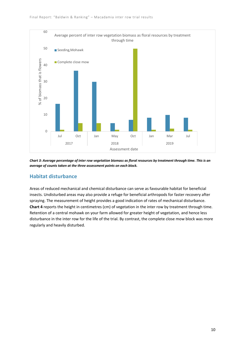

*Chart 3: Average percentage of inter row vegetation biomass as floral resources by treatment through time. This is an average of counts taken at the three assessment points on each block.*

#### **Habitat disturbance**

Areas of reduced mechanical and chemical disturbance can serve as favourable habitat for beneficial insects. Undisturbed areas may also provide a refuge for beneficial arthropods for faster recovery after spraying. The measurement of height provides a good indication of rates of mechanical disturbance. **Chart 4** reports the height in centimetres (cm) of vegetation in the inter row by treatment through time. Retention of a central mohawk on your farm allowed for greater height of vegetation, and hence less disturbance in the inter row for the life of the trial. By contrast, the complete close mow block was more regularly and heavily disturbed.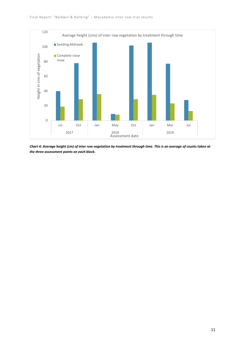

*Chart 4: Average height (cm) of inter row vegetation by treatment through time. This is an average of counts taken at the three assessment points on each block.*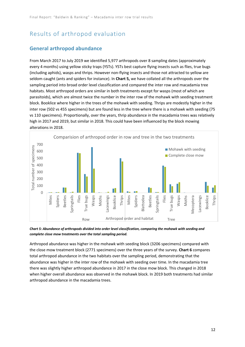# Results of arthropod evaluation

#### **General arthropod abundance**

From March 2017 to July 2019 we identified 5,977 arthropods over 8 sampling dates (approximately every 4 months) using yellow sticky traps (YSTs). YSTs best capture flying insects such as flies, true bugs (including aphids), wasps and thrips. However non-flying insects and those not attracted to yellow are seldom caught (ants and spiders for instance). In **Chart 5,** we have collated all the arthropods over the sampling period into broad order level classification and compared the inter row and macadamia tree habitats. Most arthropod orders are similar in both treatments except for wasps (most of which are parasitoids), which are almost twice the number in the inter row of the mohawk with seeding treatment block. Booklice where higher in the trees of the mohawk with seeding. Thrips are modestly higher in the inter row (502 vs 455 specimens) but are found less in the tree where there is a mohawk with seeding (75 vs 110 specimens). Proportionally, over the years, thrip abundance in the macadamia trees was relatively high in 2017 and 2019, but similar in 2018. This could have been influenced by the block mowing alterations in 2018.



*Chart 5: Abundance of arthropods divided into order level classification, comparing the mohawk with seeding and complete close mow treatments over the total sampling period.*

Arthropod abundance was higher in the mohawk with seeding block (3206 specimens) compared with the close mow treatment block (2771 specimens) over the three years of the survey. **Chart 6** compares total arthropod abundance in the two habitats over the sampling period, demonstrating that the abundance was higher in the inter row of the mohawk with seeding over time. In the macadamia tree there was slightly higher arthropod abundance in 2017 in the close mow block. This changed in 2018 when higher overall abundance was observed in the mohawk block. In 2019 both treatments had similar arthropod abundance in the macadamia trees.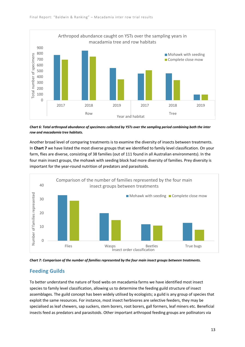

*Chart 6: Total arthropod abundance of specimens collected by YSTs over the sampling period combining both the inter row and macadamia tree habitats.*

Another broad level of comparing treatments is to examine the diversity of insects between treatments. In **Chart 7** we have listed the most diverse groups that we identified to family level classification. On your farm, flies are diverse, consisting of 38 families (out of 111 found in all Australian environments). In the four main insect groups, the mohawk with seeding block had more diversity of families. Prey diversity is important for the year-round nutrition of predators and parasitoids.



*Chart 7: Comparison of the number of families represented by the four main insect groups between treatments.*

#### **Feeding Guilds**

To better understand the nature of food webs on macadamia farms we have identified most insect species to family level classification, allowing us to determine the feeding guild structure of insect assemblages. The guild concept has been widely utilised by ecologists; a guild is any group of species that exploit the same resources. For instance, most insect herbivores are selective feeders, they may be specialised as leaf chewers, sap suckers, stem borers, root borers, gall formers, leaf miners etc. Beneficial insects feed as predators and parasitoids. Other important arthropod feeding groups are pollinators via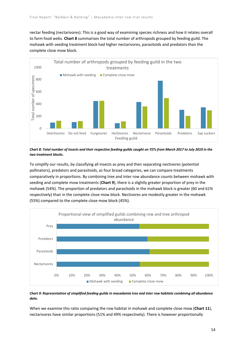nectar feeding (nectarivores). This is a good way of examining species richness and how it relates overall to farm food webs. **Chart 8** summarises the total number of arthropods grouped by feeding guild. The mohawk with seeding treatment block had higher nectarivores, parasitoids and predators than the complete close mow block.



*Chart 8: Total number of insects and their respective feeding guilds caught on YSTs from March 2017 to July 2019 in the two treatment blocks.*

To simplify our results, by classifying all insects as prey and then separating nectivores (potential pollinators), predators and parasitoids, as four broad categories, we can compare treatments comparatively in proportions. By combining tree and inter row abundance counts between mohawk with seeding and complete mow treatments (**Chart 9**), there is a slightly greater proportion of prey in the mohawk (54%). The proportion of predators and parasitoids in the mohawk block is greater (60 and 61% respectively) than in the complete close mow block. Nectivores are modestly greater in the mohawk (55%) compared to the complete close mow block (45%).



#### *Chart 9: Representation of simplified feeding guilds in macadamia tree and inter row habitats combining all abundance data.*

When we examine this ratio comparing the row habitat in mohawk and complete close mow (**Chart 11**), nectarivores have similar proportions (51% and 49% respectively). There is however proportionally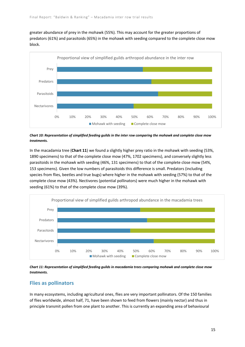greater abundance of prey in the mohawk (55%). This may account for the greater proportions of predators (61%) and parasitoids (65%) in the mohawk with seeding compared to the complete close mow block.



*Chart 10: Representation of simplified feeding guilds in the inter row comparing the mohawk and complete close mow treatments.*

In the macadamia tree (**Chart 11**) we found a slightly higher prey ratio in the mohawk with seeding (53%, 1890 specimens) to that of the complete close mow (47%, 1702 specimens), and conversely slightly less parasitoids in the mohawk with seeding (46%, 131 specimens) to that of the complete close mow (54%, 153 specimens). Given the low numbers of parasitoids this difference is small. Predators (including species from flies, beetles and true bugs) where higher in the mohawk with seeding (57%) to that of the complete close mow (43%). Nectivores (potential pollinators) were much higher in the mohawk with seeding (61%) to that of the complete close mow (39%).



*Chart 11: Representation of simplified feeding guilds in macadamia trees comparing mohawk and complete close mow treatments.*

#### **Flies as pollinators**

In many ecosystems, including agricultural ones, flies are very important pollinators. Of the 150 families of flies worldwide, almost half, 71, have been shown to feed from flowers (mainly nectar) and thus in principle transmit pollen from one plant to another. This is currently an expanding area of behavioural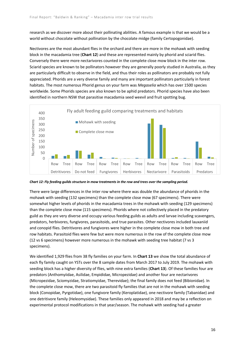research as we discover more about their pollinating abilities. A famous example is that we would be a world without chocolate without pollination by the chocolate midge (family Certopogonidae).

Nectivores are the most abundant flies in the orchard and there are more in the mohawk with seeding block in the macadamia tree (**Chart 12**) and these are represented mainly by phorid and sciarid flies. Conversely there were more nectarivores counted in the complete close mow block in the inter row. Sciarid species are known to be pollinators however they are generally poorly studied in Australia, as they are particularly difficult to observe in the field, and thus their roles as pollinators are probably not fully appreciated. Phorids are a very diverse family and many are important pollinators particularly in forest habitats. The most numerous Phorid genus on your farm was *Megaselia* which has over 1500 species worldwide. Some Phorids species are also known to be aphid predators. Phorid species have also been identified in northern NSW that parasitise macadamia seed weevil and fruit spotting bug.



*Chart 12: Fly feeding guilds structure in mow treatments in the row and trees over the sampling period.*

There were large differences in the inter row where there was double the abundance of phorids in the mohawk with seeding (132 specimens) than the complete close mow (67 specimens). There were somewhat higher levels of phorids in the macadamia trees in the mohawk with seeding (129 specimens) than the complete close mow (115 specimens). Phorids where not collectively placed in the predatory guild as they are very diverse and occupy various feeding guilds as adults and larvae including scavengers, predators, herbivores, fungivores, parasitoids, and true parasites. Other nectivores included lauxaniid and conopid flies. Detritivores and fungivores were higher in the complete close mow in both tree and row habitats. Parasitoid flies were few but were more numerous in the row of the complete close mow (12 vs 6 specimens) however more numerous in the mohawk with seeding tree habitat (7 vs 3 specimens).

We identified 1,929 flies from 38 fly families on your farm. In **Chart 13** we show the total abundance of each fly family caught on YSTs over the 8 sample dates from March 2017 to July 2019. The mohawk with seeding block has a higher diversity of flies, with nine extra families (**Chart 13**). Of these families four are predators (Anthomyiidae, Asilidae, Empididae, Micropezidae) and another four are nectarivores (Micropezidae, Sciomyzidae, Stratiomyidae, Therevidae); the final family does not feed (Bibionidae). In the complete close mow, there are two parasitoid fly families that are not in the mohawk with seeding block (Conopidae, Pyrgotidae), one fungivore family (Keroplatidae), one nectivore family (Tabanidae) and one detritivore family (Heleomysidae). These families only appeared in 2018 and may be a reflection on experimental protocol modifications in that year/season. The mohawk with seeding had a greater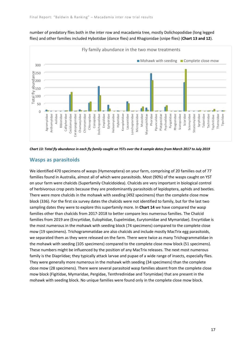

number of predatory flies both in the inter row and macadamia tree, mostly Dolichopodidae (long legged flies) and other families included Hybotidae (dance flies) and Rhagionidae (snipe flies) (**Chart 13 and 12**).



#### **Wasps as parasitoids**

We identified 470 specimens of wasps (Hymenoptera) on your farm, comprising of 20 families out of 77 families found in Australia, almost all of which were parasitoids. Most (90%) of the wasps caught on YST on your farm were chalcids (Superfamily Chalcidoidea). Chalcids are very important in biological control of herbivorous crop pests because they are predominantly parasitoids of lepidoptera, aphids and beetles. There were more chalcids in the mohawk with seeding (492 specimens) than the complete close mow block (336). For the first six survey dates the chalcids were not identified to family, but for the last two sampling dates they were to explore this superfamily more. In **Chart 14** we have compared the wasp families other than chalcids from 2017-2018 to better compare less numerous families. The Chalcid families from 2019 are (Encyrtidae, Eulophidae, Eupelmidae, Eurytomidae and Mymaridae). Encyrtidae is the most numerous in the mohawk with seeding block (74 specimens) compared to the complete close mow (19 specimens). Trichogrammatidae are also chalcids and include mostly MacTrix egg parasitoids, we separated them as they were released on the farm. There were twice as many Trichogrammatidae in the mohawk with seeding (105 specimens) compared to the complete close mow block (51 specimens). These numbers might be influenced by the position of any MacTrix releases. The next most numerous family is the Diapriidae; they typically attack larvae and pupae of a wide range of insects, especially flies. They were generally more numerous in the mohawk with seeding (34 specimens) than the complete close mow (28 specimens). There were several parasitoid wasp families absent from the complete close mow block (Figitidae, Mymaridae, Pergidae, Tenthredinidae and Torymidae) that are present in the mohawk with seeding block. No unique families were found only in the complete close mow block.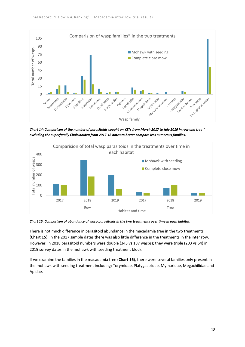

*Chart 14: Comparison of the number of parasitoids caught on YSTs from March 2017 to July 2019 in row and tree \* excluding the superfamily Chalcidoidea from 2017-18 dates to better compare less numerous families.*





There is not much difference in parasitoid abundance in the macadamia tree in the two treatments (**Chart 15**). In the 2017 sample dates there was also little difference in the treatments in the inter row. However, in 2018 parasitoid numbers were double (345 vs 187 wasps); they were triple (203 vs 64) in 2019 survey dates in the mohawk with seeding treatment block.

If we examine the families in the macadamia tree (**Chart 16**), there were several families only present in the mohawk with seeding treatment including; Torymidae, Platygastridae, Mymaridae, Megachilidae and Apidae.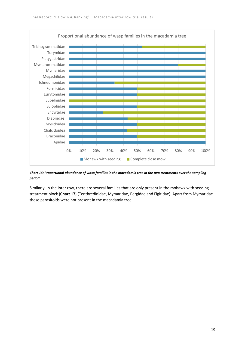

#### *Chart 16: Proportional abundance of wasp families in the macadamia tree in the two treatments over the sampling period.*

Similarly, in the inter row, there are several families that are only present in the mohawk with seeding treatment block (**Chart 17**) (Tenthredinidae, Mymaridae, Pergidae and Figitidae). Apart from Mymaridae these parasitoids were not present in the macadamia tree.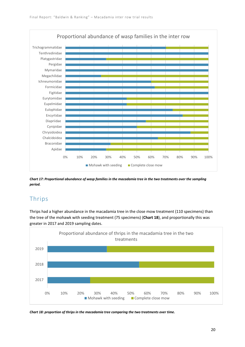

*Chart 17: Proportional abundance of wasp families in the macadamia tree in the two treatments over the sampling period.*

# Thrips

Thrips had a higher abundance in the macadamia tree in the close mow treatment (110 specimens) than the tree of the mohawk with seeding treatment (75 specimens) (**Chart 18**), and proportionally this was greater in 2017 and 2019 sampling dates.



*Chart 18: proportion of thrips in the macadamia tree comparing the two treatments over time.*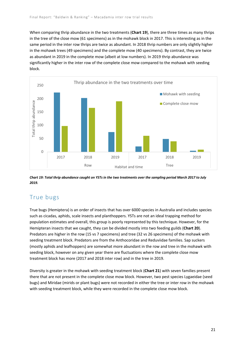When comparing thrip abundance in the two treatments (**Chart 19**), there are three times as many thrips in the tree of the close mow (61 specimens) as in the mohawk block in 2017. This is interesting as in the same period in the inter row thrips are twice as abundant. In 2018 thrip numbers are only slightly higher in the mohawk trees (49 specimens) and the complete mow (40 specimens). By contrast, they are twice as abundant in 2019 in the complete mow (albeit at low numbers). In 2019 thrip abundance was significantly higher in the inter row of the complete close mow compared to the mohawk with seeding block.



*Chart 19: Total thrip abundance caught on YSTs in the two treatments over the sampling period March 2017 to July 2019.*

## True bugs

True bugs (Hemiptera) is an order of insects that has over 6000 species in Australia and includes species such as cicadas, aphids, scale insects and planthoppers. YSTs are not an ideal trapping method for population estimates and overall, this group is poorly represented by this technique. However, for the Hemipteran insects that we caught, they can be divided mostly into two feeding guilds (**Chart 20**). Predators are higher in the row (15 vs 7 specimens) and tree (32 vs 26 specimens) of the mohawk with seeding treatment block. Predators are from the Anthocoridae and Reduviidae families. Sap suckers (mostly aphids and leafhoppers) are somewhat more abundant in the row and tree in the mohawk with seeding block, however on any given year there are fluctuations where the complete close mow treatment block has more (2017 and 2018 inter row) and in the tree in 2019.

Diversity is greater in the mohawk with seeding treatment block (**Chart 21**) with seven families present there that are not present in the complete close mow block. However, two pest species Lygaeidae (seed bugs) and Miridae (mirids or plant bugs) were not recorded in either the tree or inter row in the mohawk with seeding treatment block, while they were recorded in the complete close mow block.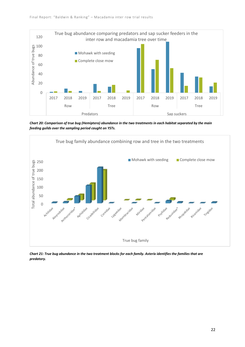

*Chart 20: Comparison of true bug (Hemiptera) abundance in the two treatments in each habitat separated by the main feeding guilds over the sampling period caught on YSTs.*



*Chart 21: True bug abundance in the two treatment blocks for each family. Asterix identifies the families that are predatory.*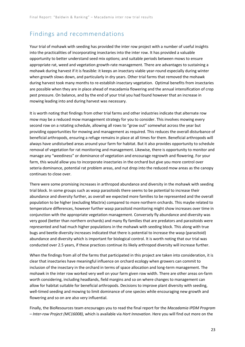## Findings and recommendations

Your trial of mohawk with seeding has provided the inter row project with a number of useful insights into the practicalities of incorporating insectaries into the inter row. It has provided a valuable opportunity to better understand seed mix options; and suitable periods between mows to ensure appropriate rat, weed and vegetation growth-rate management. There are advantages to sustaining a mohawk during harvest if it is feasible: it keeps an insectary viable year-round especially during winter when growth slows down, and particularly in dry years. Other trial farms that removed the mohawk during harvest took many months to re-establish insectary vegetation. Optimal benefits from insectaries are possible when they are in place ahead of macadamia flowering and the annual intensification of crop pest pressure. On balance, and by the end of your trial you had found however that an increase in mowing leading into and during harvest was necessary.

It is worth noting that findings from other trial farms and other industries indicate that alternate row mow may be a reduced mow management strategy for you to consider. This involves mowing every second row on a rotating schedule, allowing all rows to "grow out" somewhat across the year but providing opportunities for mowing and management as required. This reduces the overall disturbance of beneficial arthropods, ensuring a refuge remains in place at all times for them. Beneficial arthropods will always have undisturbed areas around your farm for habitat. But it also provides opportunity to schedule removal of vegetation for rat monitoring and management. Likewise, there is opportunity to monitor and manage any "weediness" or dominance of vegetation and encourage regrowth and flowering. For your farm, this would allow you to incorporate insectaries in the orchard but give you more control over seteria dominance, potential rat problem areas, and nut drop into the reduced mow areas as the canopy continues to close over.

There were some promising increases in arthropod abundance and diversity in the mohawk with seeding trial block. In some groups such as wasp parasitoids there seems to be potential to increase their abundance and diversity further, as overall we expected more families to be represented and the overall population to be higher (excluding Mactrix) compared to more northern orchards. This maybe related to temperature differences, however further wasp parasitoid monitoring might show increases over time in conjunction with the appropriate vegetation management. Conversely fly abundance and diversity was very good (better than northern orchards) and many fly families that are predators and parasitoids were represented and had much higher populations in the mohawk with seeding block. This along with true bugs and beetle diversity increases indicated that there is potential to increase the wasp (parasitoid) abundance and diversity which is important for biological control. It is worth noting that our trial was conducted over 2.5 years, if these practices continue its likely arthropod diversity will increase further.

When the findings from all of the farms that participated in this project are taken into consideration, it is clear that insectaries have meaningful influence on orchard ecology when growers can commit to inclusion of the insectary in the orchard in terms of space allocation and long-term management. The mohawk in the inter row worked very well on your farm given row width. There are other areas on-farm worth considering, including headlands, field margins and so on where changes to management can allow for habitat suitable for beneficial arthropods. Decisions to improve plant diversity with seeding, well-timed seeding and mowing to limit dominance of one species while encouraging new growth and flowering and so on are also very influential.

Finally, the BioResources team encourages you to read the final report for the *Macadamia IPDM Program – Inter-row Project (MC16008)*, which is available via *Hort Innovation*. Here you will find out more on the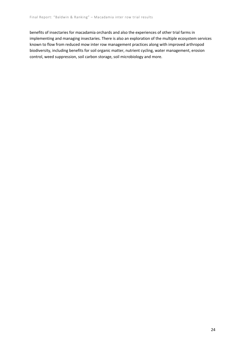benefits of insectaries for macadamia orchards and also the experiences of other trial farms in implementing and managing insectaries. There is also an exploration of the multiple ecosystem services known to flow from reduced mow inter row management practices along with improved arthropod biodiversity, including benefits for soil organic matter, nutrient cycling, water management, erosion control, weed suppression, soil carbon storage, soil microbiology and more.